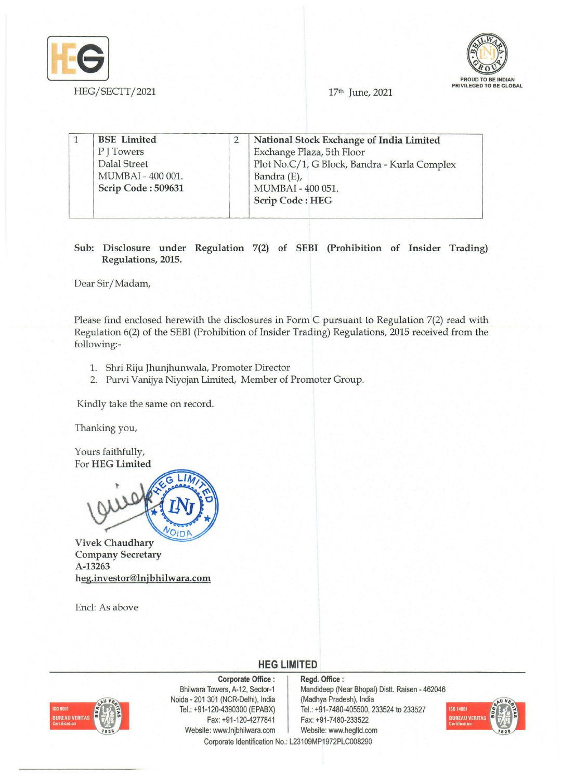



17th June, 2021

| <b>BSE</b> Limited  | National Stock Exchange of India Limited     |
|---------------------|----------------------------------------------|
| PITowers            | Exchange Plaza, 5th Floor                    |
| <b>Dalal Street</b> | Plot No.C/1, G Block, Bandra - Kurla Complex |
| MUMBAI - 400 001.   | Bandra (E),                                  |
| Scrip Code: 509631  | MUMBAI - 400 051.                            |
|                     | <b>Scrip Code: HEG</b>                       |

Sub: Disclosure under Regulation 7(2) of SEBI (Prohibition of Insider Trading) Regulations, 2015.

Dear Sir/Madam,

Please find enclosed herewith the disclosures in Form C pursuant to Regulation 7(2) read with Regulation 6(2) of the SEBI (Prohibition of Insider Trading) Regulations, 2015 received from the following:-

- 1. Shri Riju Jhunjhunwala, Promoter Director
- 2. Purvi Vanijya Niyojan Limited, Member of Promoter Group.

Kindly take the same on record.

Thanking you,

Yours faithfully, For HEG Limited

OID

Vivek Chaudhary Company Secretary A-13263 heg.investor@lnjbhilwara.com

Encl: As above

**HEG LIMITED** 



Corporate Office: Bhilwara Towers, A-12, Sector-1 Noida - 201 301 (NCR-Delhi), India Tel.: +91-120-4390300 (EPABX) Fax: +91-120-4277841 Website: www.lnjbhilwara.com | Website: www.hegltd.com Corporate Identification No.: L23109MP1972PLC008290

Regd. Office: Mandideep (Near Bhopal) Distt. Raisen - 462046 (Madhya Pradesh), India Tel.: +91-7480-405500, 233524 to 233527 Fax: +91-7480-233522

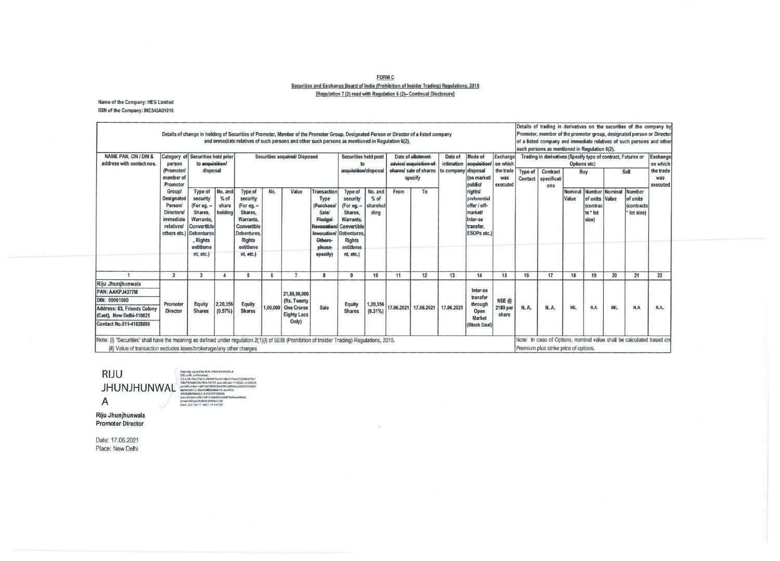## **FORM C Securities and Exchange Board of India (Prohibition of Insider Trading) Regulations, 2015**  [Regulation 7 (2) read with Regulation 6 (2)- Continual Disclosure]

Name of the Company: HEG limited ISIN of the Company: INE545A01016

| <b>NAME PAN, CIN / DIN &amp;</b><br>address with contact nos.                                                                                      | person<br>(Promoter)<br>member of<br>Promoter                                                                 | Category of Securities held prior<br>to acquisition/<br>disposal                                                                         |                                       | Securities acquired/ Disposed                                                                                                                   |          |                                                                                 |                                                                                                                                                 | Securities held post<br>acquisition/disposal                                                                                                    |                                       | Date of allotment-<br>advice/-acquisition-of<br>shares/ sale of shares<br>specify |                       | Date of<br>to company disposal | Mode of<br>intimation acquisition/<br>(on market)<br>public                              | Exchange<br>on which<br>the trade<br>was<br>executed | such persons as mentioned in Regulation 6(2).<br><b>Type of</b><br>Contract<br>Contact<br>specificati |                  |                                                                          | Options etc)<br>Buy | Trading in derivatives (Specify type of contract, Futures or<br>Sell |     | Exchange<br>on which<br>the trade<br>was<br>executed |
|----------------------------------------------------------------------------------------------------------------------------------------------------|---------------------------------------------------------------------------------------------------------------|------------------------------------------------------------------------------------------------------------------------------------------|---------------------------------------|-------------------------------------------------------------------------------------------------------------------------------------------------|----------|---------------------------------------------------------------------------------|-------------------------------------------------------------------------------------------------------------------------------------------------|-------------------------------------------------------------------------------------------------------------------------------------------------|---------------------------------------|-----------------------------------------------------------------------------------|-----------------------|--------------------------------|------------------------------------------------------------------------------------------|------------------------------------------------------|-------------------------------------------------------------------------------------------------------|------------------|--------------------------------------------------------------------------|---------------------|----------------------------------------------------------------------|-----|------------------------------------------------------|
|                                                                                                                                                    | <b>Group/</b><br>Designated<br>Person/<br><b>Directors/</b><br>immediate<br><i>relatives/</i><br>others etc.) | Type of<br>security<br>(For eg. -<br>Shares.<br>Warrants,<br>Convertible<br><b>Debentures</b><br><b>Rights</b><br>entitleme<br>nt, etc.) | No. and<br>$%$ of<br>share<br>holding | <b>Type of</b><br>security<br>(For eg. -<br>Shares.<br>Warrants.<br>Convertible<br><b>Debentures</b><br><b>Rights</b><br>entitleme<br>nt, etc.) | No.      | Value                                                                           | <b>Transaction</b><br>Type<br>(Purchase<br><b>Sale/</b><br><b>Pledgel</b><br><b>Revocation/</b><br>Invocation/<br>Others-<br>please<br>specify) | <b>Type of</b><br>security<br>(For eg. -<br>Shares,<br>Warrants.<br>Convertible<br><b>Debentures</b><br><b>Rights</b><br>entitleme<br>nt. etc.) | No. and<br>$%$ of<br>sharehol<br>ding | From                                                                              | To                    |                                | rights<br>preferential<br>offer / off-<br>market<br>Inter-se<br>transfer.<br>ESOPs etc.) |                                                      | ons                                                                                                   | Nominal<br>Value | Number Nominal<br>of units Value<br><i>(contrac</i><br>ts * lot<br>size) |                     | <b>Number</b><br>of units<br><i>(contracts)</i><br>lot size)         |     |                                                      |
|                                                                                                                                                    | $\overline{2}$                                                                                                | 3                                                                                                                                        |                                       | 5                                                                                                                                               | 6        | $\overline{7}$                                                                  |                                                                                                                                                 | 9                                                                                                                                               | 10                                    | 11                                                                                | 12                    | 13                             | 14                                                                                       | 15                                                   | 16                                                                                                    | 17               | 18                                                                       | 19                  | 20                                                                   | 21  | 22                                                   |
| Riju Jhunjhunwala<br>PAN: AAKPJ4377M<br><b>DIN: 00061060</b><br>Address: 63, Friends Colony<br>(East), New Delhi-110025<br>Contact No.011-41628890 | Promoter<br><b>Director</b>                                                                                   | Equity<br><b>Shares</b>                                                                                                                  | 2,20,356<br>(0.57%)                   | Equity<br><b>Shares</b>                                                                                                                         | 1.00.000 | 21,80,00,000<br>(Rs. Twenty<br><b>One Crores</b><br><b>Eighty Lacs</b><br>Only) | Sale                                                                                                                                            | Equity<br><b>Shares</b>                                                                                                                         | 1,20,356<br>$(0.31\%)$                |                                                                                   | 17.06.2021 17.06.2021 | 17.06.2021                     | Inter-se<br>transfer<br>through<br>Open<br><b>Market</b><br>(Block Deal)                 | NSE @<br>2180 per<br>share                           | <b>N.A.</b>                                                                                           | <b>N.A.</b>      | <b>NIL</b>                                                               | N.A                 | <b>NIL</b>                                                           | N.A | N.A.                                                 |

**RIJU JHUNJHUNWAL**  A

Digitally signed by RUU HHAUHURWALA<br>Digital signed by RUU HHAUHURWALA<br>SBN 469482278C-cd4949151501 discussed and<br>SBN 46948205218c-cd49b74197, portalCode=110025, x<br>seriallywinde==461b3709350508381467964221b63.<br>HEWENHAWALALA-

Riju Jhunjhunwala Promoter Director

Date: 17.06.2021 Place: New Delhi